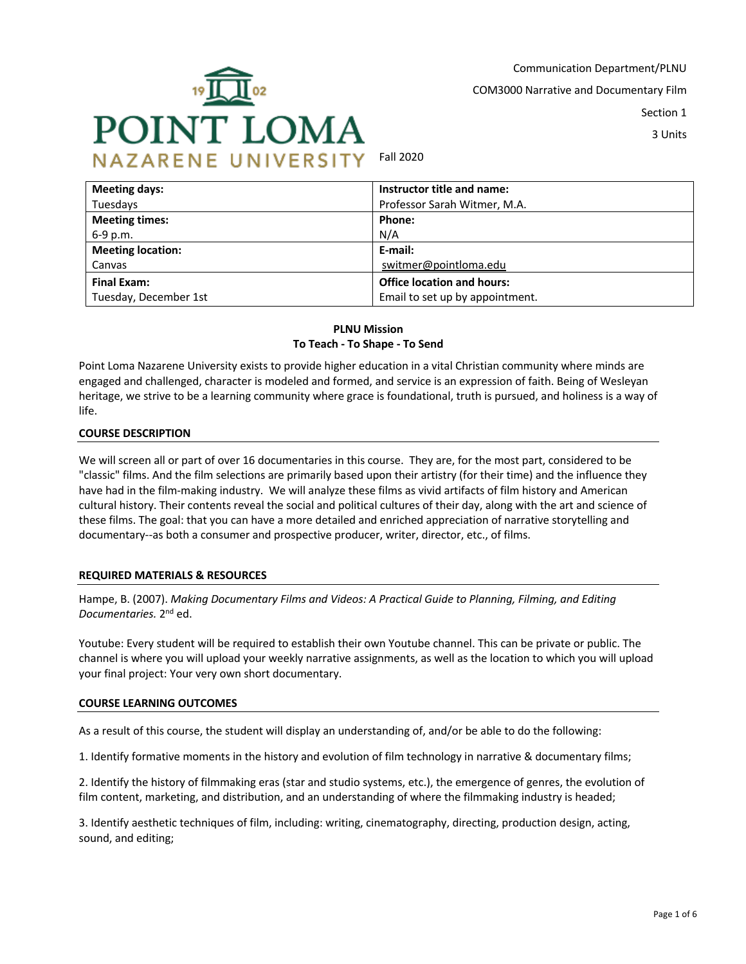

Communication Department/PLNU COM3000 Narrative and Documentary Film Section 1

3 Units

Fall 2020

| <b>Meeting days:</b>     | Instructor title and name:        |  |
|--------------------------|-----------------------------------|--|
| Tuesdays                 | Professor Sarah Witmer, M.A.      |  |
| <b>Meeting times:</b>    | Phone:                            |  |
| 6-9 p.m.                 | N/A                               |  |
| <b>Meeting location:</b> | E-mail:                           |  |
| Canvas                   | switmer@pointloma.edu             |  |
| Final Exam:              | <b>Office location and hours:</b> |  |
| Tuesday, December 1st    | Email to set up by appointment.   |  |

## **PLNU Mission To Teach - To Shape - To Send**

Point Loma Nazarene University exists to provide higher education in a vital Christian community where minds are engaged and challenged, character is modeled and formed, and service is an expression of faith. Being of Wesleyan heritage, we strive to be a learning community where grace is foundational, truth is pursued, and holiness is a way of life.

## **COURSE DESCRIPTION**

We will screen all or part of over 16 documentaries in this course. They are, for the most part, considered to be "classic" films. And the film selections are primarily based upon their artistry (for their time) and the influence they have had in the film-making industry. We will analyze these films as vivid artifacts of film history and American cultural history. Their contents reveal the social and political cultures of their day, along with the art and science of these films. The goal: that you can have a more detailed and enriched appreciation of narrative storytelling and documentary--as both a consumer and prospective producer, writer, director, etc., of films.

## **REQUIRED MATERIALS & RESOURCES**

Hampe, B. (2007). *Making Documentary Films and Videos: A Practical Guide to Planning, Filming, and Editing Documentaries.* 2nd ed.

Youtube: Every student will be required to establish their own Youtube channel. This can be private or public. The channel is where you will upload your weekly narrative assignments, as well as the location to which you will upload your final project: Your very own short documentary.

#### **COURSE LEARNING OUTCOMES**

As a result of this course, the student will display an understanding of, and/or be able to do the following:

1. Identify formative moments in the history and evolution of film technology in narrative & documentary films;

2. Identify the history of filmmaking eras (star and studio systems, etc.), the emergence of genres, the evolution of film content, marketing, and distribution, and an understanding of where the filmmaking industry is headed;

3. Identify aesthetic techniques of film, including: writing, cinematography, directing, production design, acting, sound, and editing;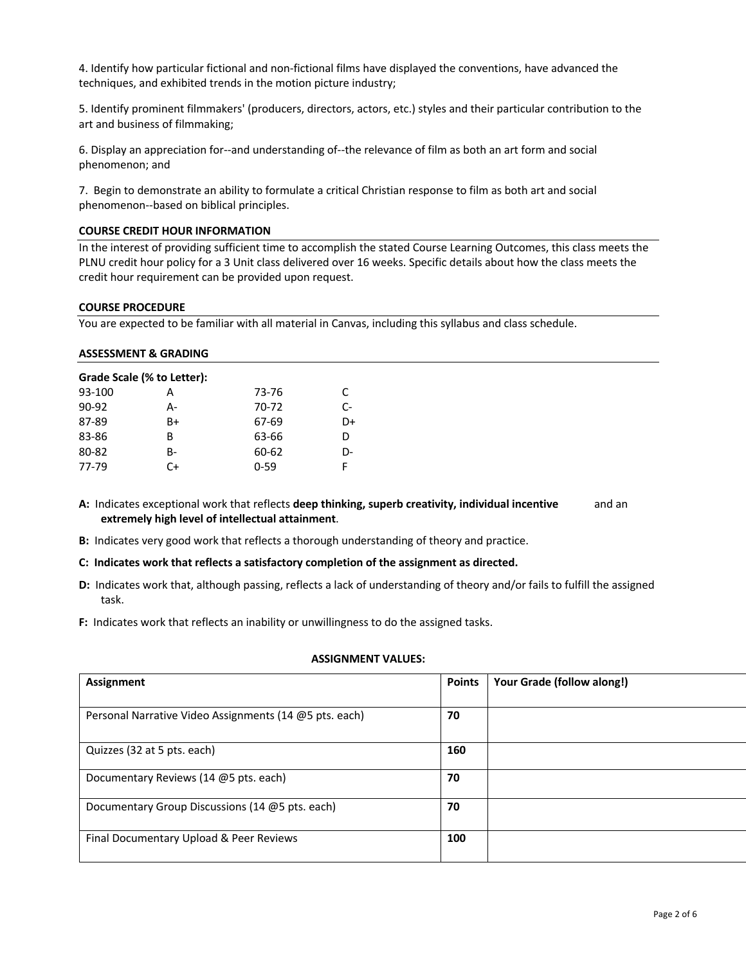4. Identify how particular fictional and non-fictional films have displayed the conventions, have advanced the techniques, and exhibited trends in the motion picture industry;

5. Identify prominent filmmakers' (producers, directors, actors, etc.) styles and their particular contribution to the art and business of filmmaking;

6. Display an appreciation for--and understanding of--the relevance of film as both an art form and social phenomenon; and

7. Begin to demonstrate an ability to formulate a critical Christian response to film as both art and social phenomenon--based on biblical principles.

#### **COURSE CREDIT HOUR INFORMATION**

In the interest of providing sufficient time to accomplish the stated Course Learning Outcomes, this class meets the PLNU credit hour policy for a 3 Unit class delivered over 16 weeks. Specific details about how the class meets the credit hour requirement can be provided upon request.

#### **COURSE PROCEDURE**

You are expected to be familiar with all material in Canvas, including this syllabus and class schedule.

#### **ASSESSMENT & GRADING**

| Grade Scale (% to Letter): |           |          |      |
|----------------------------|-----------|----------|------|
| 93-100                     | А         | 73-76    | C    |
| $90 - 92$                  | А-        | 70-72    | $C-$ |
| 87-89                      | B+        | 67-69    | D+   |
| 83-86                      | в         | 63-66    | D    |
| 80-82                      | <b>B-</b> | 60-62    | D-   |
| 77-79                      | C+        | $0 - 59$ | F    |

**A:** Indicates exceptional work that reflects **deep thinking, superb creativity, individual incentive** and an **extremely high level of intellectual attainment**.

**B:** Indicates very good work that reflects a thorough understanding of theory and practice.

#### **C: Indicates work that reflects a satisfactory completion of the assignment as directed.**

- **D:** Indicates work that, although passing, reflects a lack of understanding of theory and/or fails to fulfill the assigned task.
- **F:** Indicates work that reflects an inability or unwillingness to do the assigned tasks.

#### **ASSIGNMENT VALUES:**

| Assignment                                             | <b>Points</b> | Your Grade (follow along!) |
|--------------------------------------------------------|---------------|----------------------------|
| Personal Narrative Video Assignments (14 @5 pts. each) | 70            |                            |
| Quizzes (32 at 5 pts. each)                            | 160           |                            |
| Documentary Reviews (14 @5 pts. each)                  | 70            |                            |
| Documentary Group Discussions (14 @5 pts. each)        | 70            |                            |
| Final Documentary Upload & Peer Reviews                | 100           |                            |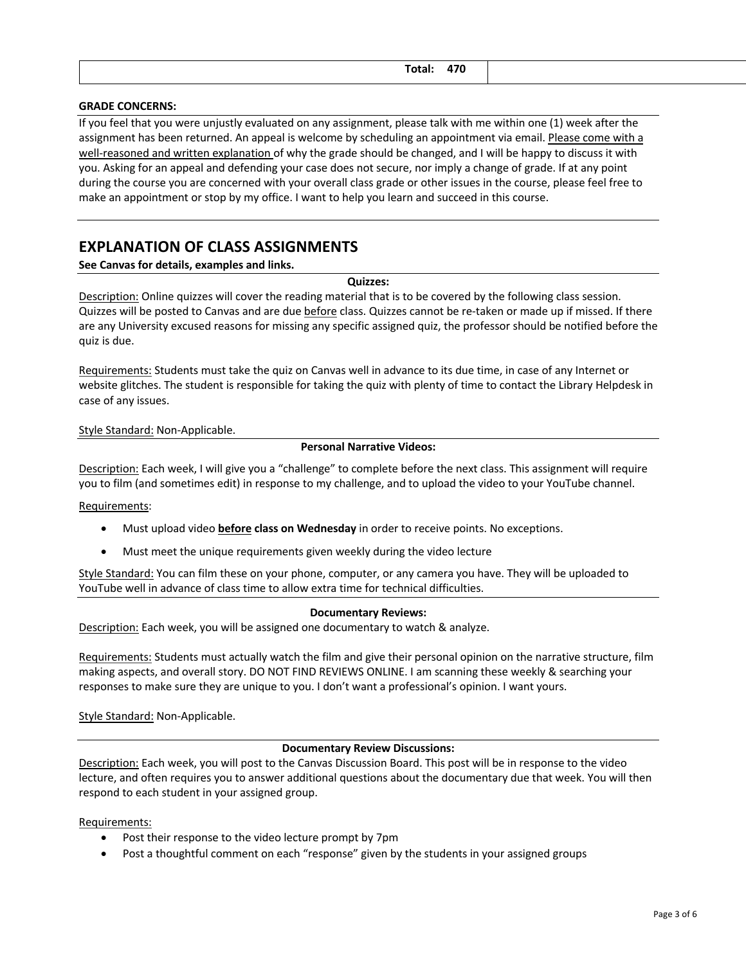| $T = 1.1$<br>v.a.<br>____ | 470<br>,,<br>______ |  |
|---------------------------|---------------------|--|
|                           |                     |  |

#### **GRADE CONCERNS:**

If you feel that you were unjustly evaluated on any assignment, please talk with me within one (1) week after the assignment has been returned. An appeal is welcome by scheduling an appointment via email. Please come with a well-reasoned and written explanation of why the grade should be changed, and I will be happy to discuss it with you. Asking for an appeal and defending your case does not secure, nor imply a change of grade. If at any point during the course you are concerned with your overall class grade or other issues in the course, please feel free to make an appointment or stop by my office. I want to help you learn and succeed in this course.

## **EXPLANATION OF CLASS ASSIGNMENTS**

**See Canvas for details, examples and links.**

#### **Quizzes:**

Description: Online quizzes will cover the reading material that is to be covered by the following class session. Quizzes will be posted to Canvas and are due before class. Quizzes cannot be re-taken or made up if missed. If there are any University excused reasons for missing any specific assigned quiz, the professor should be notified before the quiz is due.

Requirements: Students must take the quiz on Canvas well in advance to its due time, in case of any Internet or website glitches. The student is responsible for taking the quiz with plenty of time to contact the Library Helpdesk in case of any issues.

#### Style Standard: Non-Applicable.

#### **Personal Narrative Videos:**

Description: Each week, I will give you a "challenge" to complete before the next class. This assignment will require you to film (and sometimes edit) in response to my challenge, and to upload the video to your YouTube channel.

Requirements:

- Must upload video **before class on Wednesday** in order to receive points. No exceptions.
- Must meet the unique requirements given weekly during the video lecture

Style Standard: You can film these on your phone, computer, or any camera you have. They will be uploaded to YouTube well in advance of class time to allow extra time for technical difficulties.

#### **Documentary Reviews:**

Description: Each week, you will be assigned one documentary to watch & analyze.

Requirements: Students must actually watch the film and give their personal opinion on the narrative structure, film making aspects, and overall story. DO NOT FIND REVIEWS ONLINE. I am scanning these weekly & searching your responses to make sure they are unique to you. I don't want a professional's opinion. I want yours.

Style Standard: Non-Applicable.

#### **Documentary Review Discussions:**

Description: Each week, you will post to the Canvas Discussion Board. This post will be in response to the video lecture, and often requires you to answer additional questions about the documentary due that week. You will then respond to each student in your assigned group.

Requirements:

- Post their response to the video lecture prompt by 7pm
- Post a thoughtful comment on each "response" given by the students in your assigned groups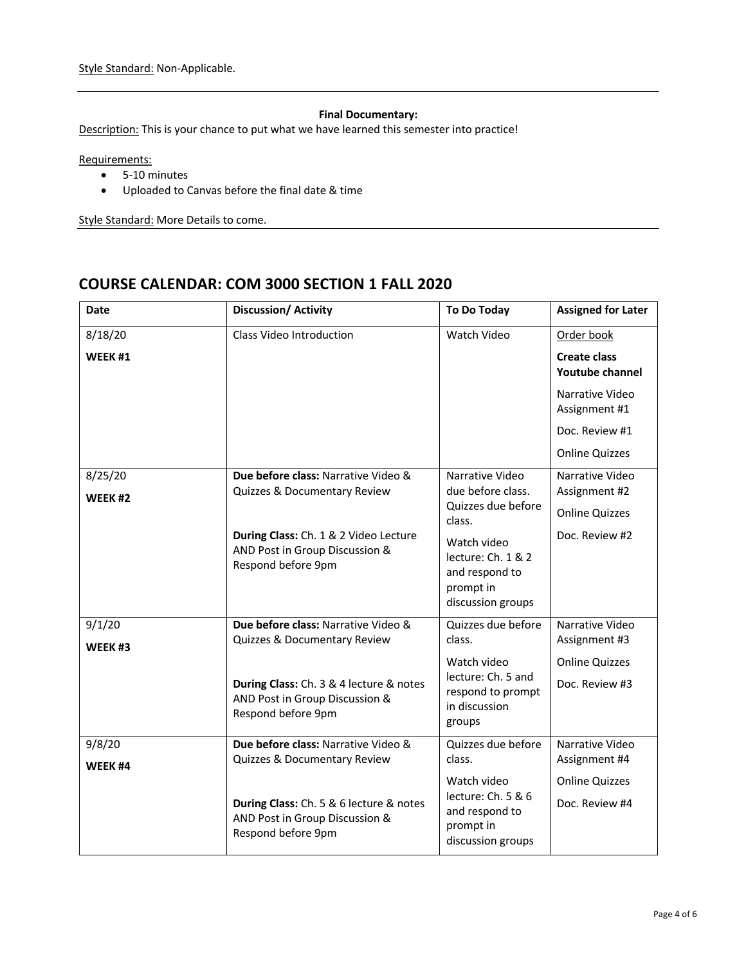## **Final Documentary:**

Description: This is your chance to put what we have learned this semester into practice!

Requirements:

- 5-10 minutes
- Uploaded to Canvas before the final date & time

Style Standard: More Details to come.

# **COURSE CALENDAR: COM 3000 SECTION 1 FALL 2020**

| <b>Date</b>                   | Discussion/ Activity                                                                                                                                                   | To Do Today                                                                                                                                                   | <b>Assigned for Later</b>                                                                                                                  |
|-------------------------------|------------------------------------------------------------------------------------------------------------------------------------------------------------------------|---------------------------------------------------------------------------------------------------------------------------------------------------------------|--------------------------------------------------------------------------------------------------------------------------------------------|
| 8/18/20<br>WEEK <sub>#1</sub> | Class Video Introduction                                                                                                                                               | Watch Video                                                                                                                                                   | Order book<br><b>Create class</b><br><b>Youtube channel</b><br>Narrative Video<br>Assignment #1<br>Doc. Review #1<br><b>Online Quizzes</b> |
| 8/25/20<br>WEEK #2            | Due before class: Narrative Video &<br>Quizzes & Documentary Review<br>During Class: Ch. 1 & 2 Video Lecture<br>AND Post in Group Discussion &<br>Respond before 9pm   | Narrative Video<br>due before class.<br>Quizzes due before<br>class.<br>Watch video<br>lecture: Ch. 1 & 2<br>and respond to<br>prompt in<br>discussion groups | Narrative Video<br>Assignment #2<br><b>Online Quizzes</b><br>Doc. Review #2                                                                |
| 9/1/20<br>WEEK#3              | Due before class: Narrative Video &<br>Quizzes & Documentary Review<br>During Class: Ch. 3 & 4 lecture & notes<br>AND Post in Group Discussion &<br>Respond before 9pm | Quizzes due before<br>class.<br>Watch video<br>lecture: Ch. 5 and<br>respond to prompt<br>in discussion<br>groups                                             | Narrative Video<br>Assignment #3<br><b>Online Quizzes</b><br>Doc. Review #3                                                                |
| 9/8/20<br>WEEK <sub>#4</sub>  | Due before class: Narrative Video &<br>Quizzes & Documentary Review<br>During Class: Ch. 5 & 6 lecture & notes<br>AND Post in Group Discussion &<br>Respond before 9pm | Quizzes due before<br>class.<br>Watch video<br>lecture: Ch. 5 & 6<br>and respond to<br>prompt in<br>discussion groups                                         | Narrative Video<br>Assignment #4<br><b>Online Quizzes</b><br>Doc. Review #4                                                                |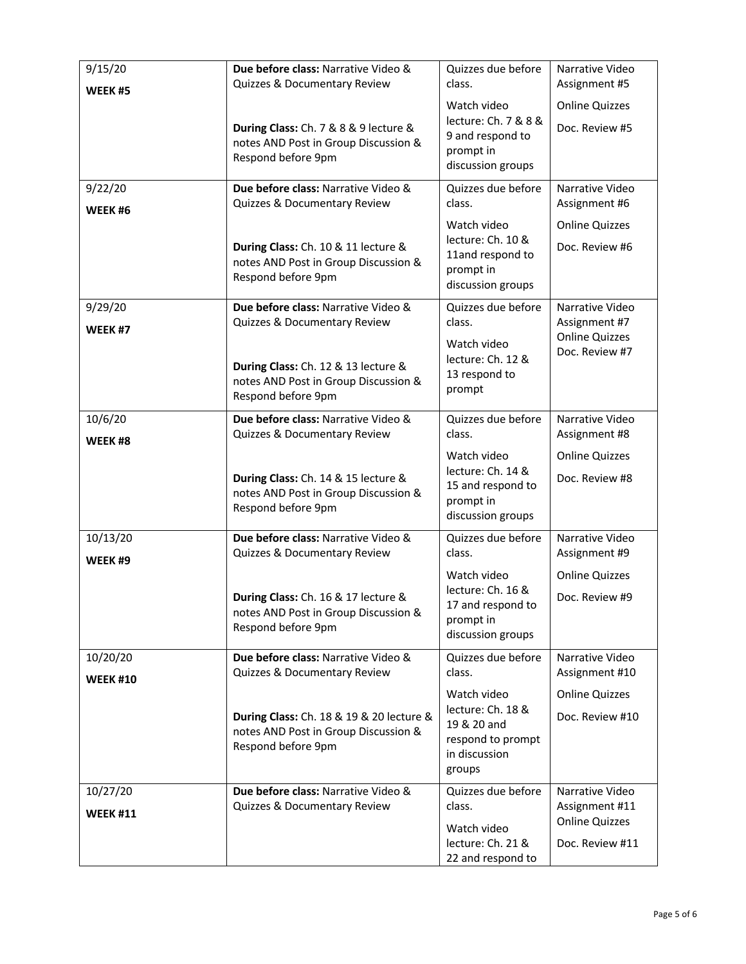| 9/15/20                        | Due before class: Narrative Video &<br>Quizzes & Documentary Review                                    | Quizzes due before<br>class.                                                                    | Narrative Video<br>Assignment #5                                              |
|--------------------------------|--------------------------------------------------------------------------------------------------------|-------------------------------------------------------------------------------------------------|-------------------------------------------------------------------------------|
| WEEK <sub>#5</sub>             | During Class: Ch. 7 & 8 & 9 lecture &<br>notes AND Post in Group Discussion &<br>Respond before 9pm    | Watch video<br>lecture: Ch. 7 & 8 &<br>9 and respond to<br>prompt in<br>discussion groups       | <b>Online Quizzes</b><br>Doc. Review #5                                       |
| 9/22/20<br>WEEK <sub>#6</sub>  | Due before class: Narrative Video &<br>Quizzes & Documentary Review                                    | Quizzes due before<br>class.                                                                    | Narrative Video<br>Assignment #6                                              |
|                                | During Class: Ch. 10 & 11 lecture &<br>notes AND Post in Group Discussion &<br>Respond before 9pm      | Watch video<br>lecture: Ch. 10 &<br>11and respond to<br>prompt in<br>discussion groups          | <b>Online Quizzes</b><br>Doc. Review #6                                       |
| 9/29/20<br>WEEK <sub>#7</sub>  | Due before class: Narrative Video &<br>Quizzes & Documentary Review                                    | Quizzes due before<br>class.                                                                    | Narrative Video<br>Assignment #7                                              |
|                                | During Class: Ch. 12 & 13 lecture &<br>notes AND Post in Group Discussion &<br>Respond before 9pm      | Watch video<br>lecture: Ch. 12 &<br>13 respond to<br>prompt                                     | <b>Online Quizzes</b><br>Doc. Review #7                                       |
| 10/6/20<br>WEEK <sub>#8</sub>  | Due before class: Narrative Video &<br>Quizzes & Documentary Review                                    | Quizzes due before<br>class.                                                                    | Narrative Video<br>Assignment #8                                              |
|                                | During Class: Ch. 14 & 15 lecture &<br>notes AND Post in Group Discussion &<br>Respond before 9pm      | Watch video<br>lecture: Ch. 14 &<br>15 and respond to<br>prompt in<br>discussion groups         | <b>Online Quizzes</b><br>Doc. Review #8                                       |
| 10/13/20<br>WEEK <sub>#9</sub> | Due before class: Narrative Video &<br>Quizzes & Documentary Review                                    | Quizzes due before<br>class.                                                                    | Narrative Video<br>Assignment #9                                              |
|                                | During Class: Ch. 16 & 17 lecture &<br>notes AND Post in Group Discussion &<br>Respond before 9pm      | Watch video<br>lecture: Ch. 16 &<br>17 and respond to<br>prompt in<br>discussion groups         | <b>Online Quizzes</b><br>Doc. Review #9                                       |
| 10/20/20                       | Due before class: Narrative Video &<br>Quizzes & Documentary Review                                    | Quizzes due before<br>class.                                                                    | Narrative Video<br>Assignment #10                                             |
| <b>WEEK #10</b>                | During Class: Ch. 18 & 19 & 20 lecture &<br>notes AND Post in Group Discussion &<br>Respond before 9pm | Watch video<br>lecture: Ch. 18 &<br>19 & 20 and<br>respond to prompt<br>in discussion<br>groups | <b>Online Quizzes</b><br>Doc. Review #10                                      |
| 10/27/20<br><b>WEEK #11</b>    | Due before class: Narrative Video &<br>Quizzes & Documentary Review                                    | Quizzes due before<br>class.<br>Watch video<br>lecture: Ch. 21 &<br>22 and respond to           | Narrative Video<br>Assignment #11<br><b>Online Quizzes</b><br>Doc. Review #11 |